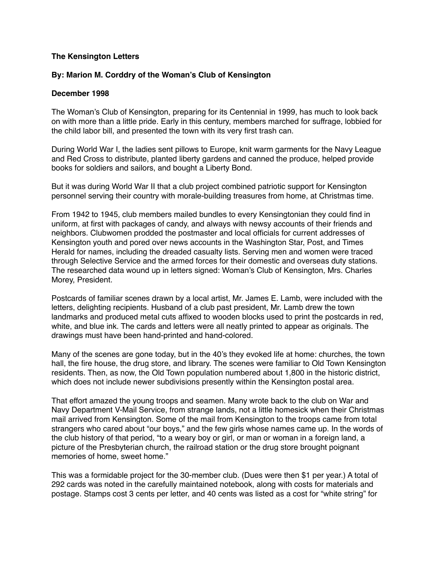## **The Kensington Letters**

## **By: Marion M. Corddry of the Woman's Club of Kensington**

## **December 1998**

The Woman's Club of Kensington, preparing for its Centennial in 1999, has much to look back on with more than a little pride. Early in this century, members marched for suffrage, lobbied for the child labor bill, and presented the town with its very first trash can.

During World War I, the ladies sent pillows to Europe, knit warm garments for the Navy League and Red Cross to distribute, planted liberty gardens and canned the produce, helped provide books for soldiers and sailors, and bought a Liberty Bond.

But it was during World War II that a club project combined patriotic support for Kensington personnel serving their country with morale-building treasures from home, at Christmas time.

From 1942 to 1945, club members mailed bundles to every Kensingtonian they could find in uniform, at first with packages of candy, and always with newsy accounts of their friends and neighbors. Clubwomen prodded the postmaster and local officials for current addresses of Kensington youth and pored over news accounts in the Washington Star, Post, and Times Herald for names, including the dreaded casualty lists. Serving men and women were traced through Selective Service and the armed forces for their domestic and overseas duty stations. The researched data wound up in letters signed: Woman's Club of Kensington, Mrs. Charles Morey, President.

Postcards of familiar scenes drawn by a local artist, Mr. James E. Lamb, were included with the letters, delighting recipients. Husband of a club past president, Mr. Lamb drew the town landmarks and produced metal cuts affixed to wooden blocks used to print the postcards in red, white, and blue ink. The cards and letters were all neatly printed to appear as originals. The drawings must have been hand-printed and hand-colored.

Many of the scenes are gone today, but in the 40's they evoked life at home: churches, the town hall, the fire house, the drug store, and library. The scenes were familiar to Old Town Kensington residents. Then, as now, the Old Town population numbered about 1,800 in the historic district, which does not include newer subdivisions presently within the Kensington postal area.

That effort amazed the young troops and seamen. Many wrote back to the club on War and Navy Department V-Mail Service, from strange lands, not a little homesick when their Christmas mail arrived from Kensington. Some of the mail from Kensington to the troops came from total strangers who cared about "our boys," and the few girls whose names came up. In the words of the club history of that period, "to a weary boy or girl, or man or woman in a foreign land, a picture of the Presbyterian church, the railroad station or the drug store brought poignant memories of home, sweet home."

This was a formidable project for the 30-member club. (Dues were then \$1 per year.) A total of 292 cards was noted in the carefully maintained notebook, along with costs for materials and postage. Stamps cost 3 cents per letter, and 40 cents was listed as a cost for "white string" for